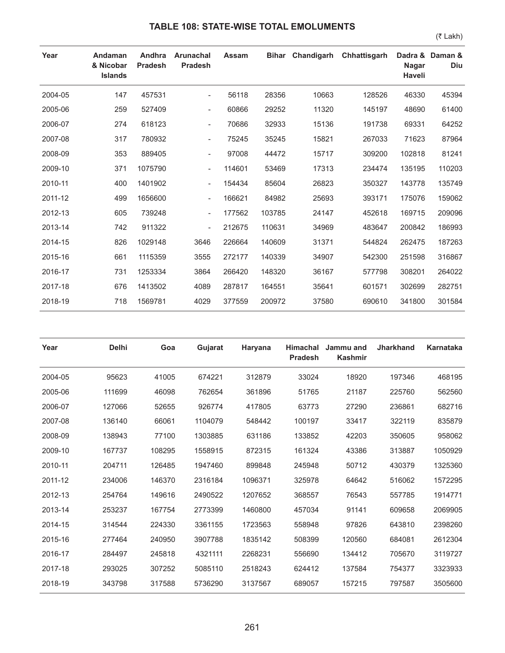## **TABLE 108: STATE-WISE TOTAL EMOLUMENTS**

(₹ Lakh)

| Year    | Andaman<br>& Nicobar<br><b>Islands</b> | Andhra<br><b>Pradesh</b> | <b>Arunachal</b><br><b>Pradesh</b> | Assam  | <b>Bihar</b> | Chandigarh | Chhattisgarh | <b>Nagar</b><br>Haveli | Dadra & Daman &<br>Diu |
|---------|----------------------------------------|--------------------------|------------------------------------|--------|--------------|------------|--------------|------------------------|------------------------|
| 2004-05 | 147                                    | 457531                   | $\overline{\phantom{a}}$           | 56118  | 28356        | 10663      | 128526       | 46330                  | 45394                  |
| 2005-06 | 259                                    | 527409                   | $\overline{\phantom{a}}$           | 60866  | 29252        | 11320      | 145197       | 48690                  | 61400                  |
| 2006-07 | 274                                    | 618123                   | $\overline{\phantom{a}}$           | 70686  | 32933        | 15136      | 191738       | 69331                  | 64252                  |
| 2007-08 | 317                                    | 780932                   | $\overline{\phantom{a}}$           | 75245  | 35245        | 15821      | 267033       | 71623                  | 87964                  |
| 2008-09 | 353                                    | 889405                   | $\overline{\phantom{a}}$           | 97008  | 44472        | 15717      | 309200       | 102818                 | 81241                  |
| 2009-10 | 371                                    | 1075790                  | $\overline{\phantom{a}}$           | 114601 | 53469        | 17313      | 234474       | 135195                 | 110203                 |
| 2010-11 | 400                                    | 1401902                  | $\overline{\phantom{a}}$           | 154434 | 85604        | 26823      | 350327       | 143778                 | 135749                 |
| 2011-12 | 499                                    | 1656600                  | $\overline{\phantom{a}}$           | 166621 | 84982        | 25693      | 393171       | 175076                 | 159062                 |
| 2012-13 | 605                                    | 739248                   | $\overline{\phantom{a}}$           | 177562 | 103785       | 24147      | 452618       | 169715                 | 209096                 |
| 2013-14 | 742                                    | 911322                   | $\overline{\phantom{a}}$           | 212675 | 110631       | 34969      | 483647       | 200842                 | 186993                 |
| 2014-15 | 826                                    | 1029148                  | 3646                               | 226664 | 140609       | 31371      | 544824       | 262475                 | 187263                 |
| 2015-16 | 661                                    | 1115359                  | 3555                               | 272177 | 140339       | 34907      | 542300       | 251598                 | 316867                 |
| 2016-17 | 731                                    | 1253334                  | 3864                               | 266420 | 148320       | 36167      | 577798       | 308201                 | 264022                 |
| 2017-18 | 676                                    | 1413502                  | 4089                               | 287817 | 164551       | 35641      | 601571       | 302699                 | 282751                 |
| 2018-19 | 718                                    | 1569781                  | 4029                               | 377559 | 200972       | 37580      | 690610       | 341800                 | 301584                 |

| Year    | <b>Delhi</b> | Goa    | Gujarat | Haryana | <b>Himachal</b><br><b>Pradesh</b> | Jammu and<br><b>Kashmir</b> | <b>Jharkhand</b> | Karnataka |
|---------|--------------|--------|---------|---------|-----------------------------------|-----------------------------|------------------|-----------|
| 2004-05 | 95623        | 41005  | 674221  | 312879  | 33024                             | 18920                       | 197346           | 468195    |
| 2005-06 | 111699       | 46098  | 762654  | 361896  | 51765                             | 21187                       | 225760           | 562560    |
| 2006-07 | 127066       | 52655  | 926774  | 417805  | 63773                             | 27290                       | 236861           | 682716    |
| 2007-08 | 136140       | 66061  | 1104079 | 548442  | 100197                            | 33417                       | 322119           | 835879    |
| 2008-09 | 138943       | 77100  | 1303885 | 631186  | 133852                            | 42203                       | 350605           | 958062    |
| 2009-10 | 167737       | 108295 | 1558915 | 872315  | 161324                            | 43386                       | 313887           | 1050929   |
| 2010-11 | 204711       | 126485 | 1947460 | 899848  | 245948                            | 50712                       | 430379           | 1325360   |
| 2011-12 | 234006       | 146370 | 2316184 | 1096371 | 325978                            | 64642                       | 516062           | 1572295   |
| 2012-13 | 254764       | 149616 | 2490522 | 1207652 | 368557                            | 76543                       | 557785           | 1914771   |
| 2013-14 | 253237       | 167754 | 2773399 | 1460800 | 457034                            | 91141                       | 609658           | 2069905   |
| 2014-15 | 314544       | 224330 | 3361155 | 1723563 | 558948                            | 97826                       | 643810           | 2398260   |
| 2015-16 | 277464       | 240950 | 3907788 | 1835142 | 508399                            | 120560                      | 684081           | 2612304   |
| 2016-17 | 284497       | 245818 | 4321111 | 2268231 | 556690                            | 134412                      | 705670           | 3119727   |
| 2017-18 | 293025       | 307252 | 5085110 | 2518243 | 624412                            | 137584                      | 754377           | 3323933   |
| 2018-19 | 343798       | 317588 | 5736290 | 3137567 | 689057                            | 157215                      | 797587           | 3505600   |